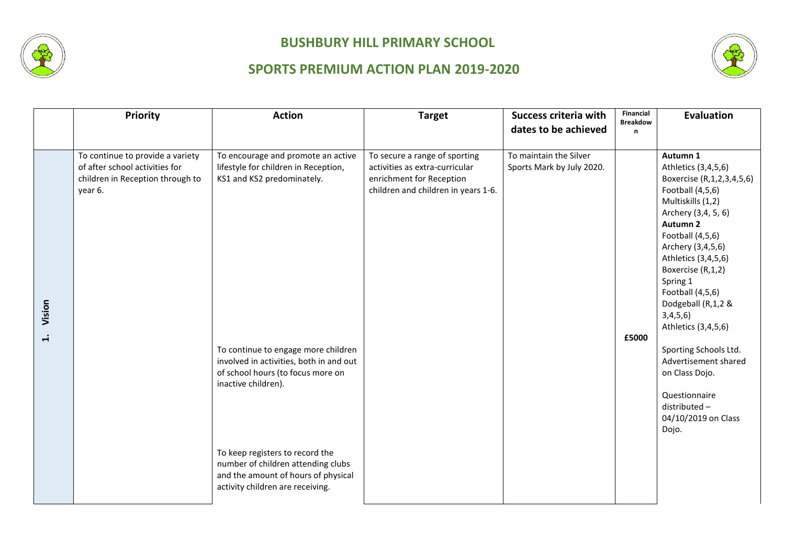



|                  | Priority                                                                                                          | <b>Action</b>                                                                                                                                                                                                                                                                                                                                                                                              | <b>Target</b>                                                                                                                      | Success criteria with<br>dates to be achieved       | Financial<br><b>Breakdow</b><br>n | Evaluation                                                                                                                                                                                                                                                                                                                                                                                                                                                       |
|------------------|-------------------------------------------------------------------------------------------------------------------|------------------------------------------------------------------------------------------------------------------------------------------------------------------------------------------------------------------------------------------------------------------------------------------------------------------------------------------------------------------------------------------------------------|------------------------------------------------------------------------------------------------------------------------------------|-----------------------------------------------------|-----------------------------------|------------------------------------------------------------------------------------------------------------------------------------------------------------------------------------------------------------------------------------------------------------------------------------------------------------------------------------------------------------------------------------------------------------------------------------------------------------------|
|                  |                                                                                                                   |                                                                                                                                                                                                                                                                                                                                                                                                            |                                                                                                                                    |                                                     |                                   |                                                                                                                                                                                                                                                                                                                                                                                                                                                                  |
| Vision<br>$\div$ | To continue to provide a variety<br>of after school activities for<br>children in Reception through to<br>year 6. | To encourage and promote an active<br>lifestyle for children in Reception,<br>KS1 and KS2 predominately.<br>To continue to engage more children<br>involved in activities, both in and out<br>of school hours (to focus more on<br>inactive children).<br>To keep registers to record the<br>number of children attending clubs<br>and the amount of hours of physical<br>activity children are receiving. | To secure a range of sporting<br>activities as extra-curricular<br>enrichment for Reception<br>children and children in years 1-6. | To maintain the Silver<br>Sports Mark by July 2020. | £5000                             | Autumn 1<br>Athletics (3,4,5,6)<br>Boxercise (R, 1, 2, 3, 4, 5, 6)<br>Football (4,5,6)<br>Multiskills (1,2)<br>Archery (3,4, 5, 6)<br>Autumn 2<br>Football (4,5,6)<br>Archery (3,4,5,6)<br>Athletics (3,4,5,6)<br>Boxercise (R,1,2)<br>Spring 1<br>Football (4,5,6)<br>Dodgeball (R,1,2 &<br>3,4,5,6)<br>Athletics (3,4,5,6)<br>Sporting Schools Ltd.<br>Advertisement shared<br>on Class Dojo.<br>Questionnaire<br>distributed-<br>04/10/2019 on Class<br>Dojo. |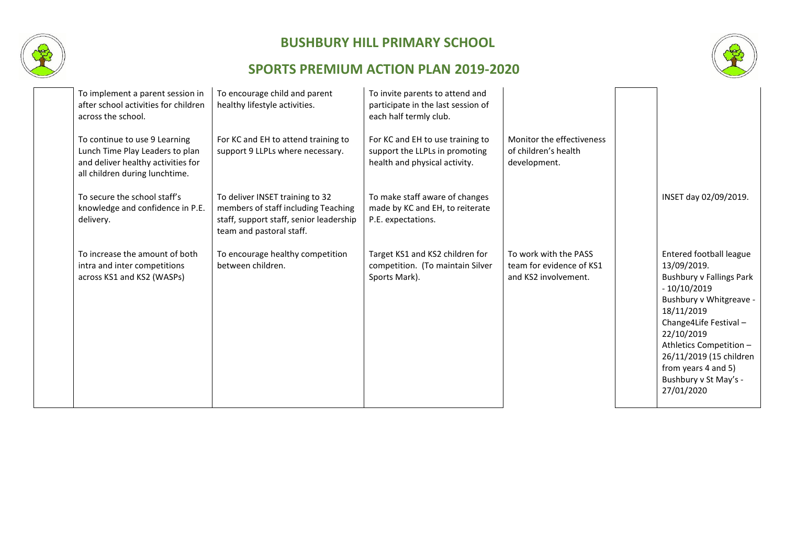



| To implement a parent session in<br>after school activities for children<br>across the school.                                           | To encourage child and parent<br>healthy lifestyle activities.                                                                                | To invite parents to attend and<br>participate in the last session of<br>each half termly club.     |                                                                           |                                                                                                                                                                                                                                                                                                |
|------------------------------------------------------------------------------------------------------------------------------------------|-----------------------------------------------------------------------------------------------------------------------------------------------|-----------------------------------------------------------------------------------------------------|---------------------------------------------------------------------------|------------------------------------------------------------------------------------------------------------------------------------------------------------------------------------------------------------------------------------------------------------------------------------------------|
| To continue to use 9 Learning<br>Lunch Time Play Leaders to plan<br>and deliver healthy activities for<br>all children during lunchtime. | For KC and EH to attend training to<br>support 9 LLPLs where necessary.                                                                       | For KC and EH to use training to<br>support the LLPLs in promoting<br>health and physical activity. | Monitor the effectiveness<br>of children's health<br>development.         |                                                                                                                                                                                                                                                                                                |
| To secure the school staff's<br>knowledge and confidence in P.E.<br>delivery.                                                            | To deliver INSET training to 32<br>members of staff including Teaching<br>staff, support staff, senior leadership<br>team and pastoral staff. | To make staff aware of changes<br>made by KC and EH, to reiterate<br>P.E. expectations.             |                                                                           | INSET day 02/09/2019.                                                                                                                                                                                                                                                                          |
| To increase the amount of both<br>intra and inter competitions<br>across KS1 and KS2 (WASPs)                                             | To encourage healthy competition<br>between children.                                                                                         | Target KS1 and KS2 children for<br>competition. (To maintain Silver<br>Sports Mark).                | To work with the PASS<br>team for evidence of KS1<br>and KS2 involvement. | Entered football league<br>13/09/2019.<br><b>Bushbury v Fallings Park</b><br>$-10/10/2019$<br>Bushbury v Whitgreave -<br>18/11/2019<br>Change4Life Festival-<br>22/10/2019<br>Athletics Competition -<br>26/11/2019 (15 children<br>from years 4 and 5)<br>Bushbury v St May's -<br>27/01/2020 |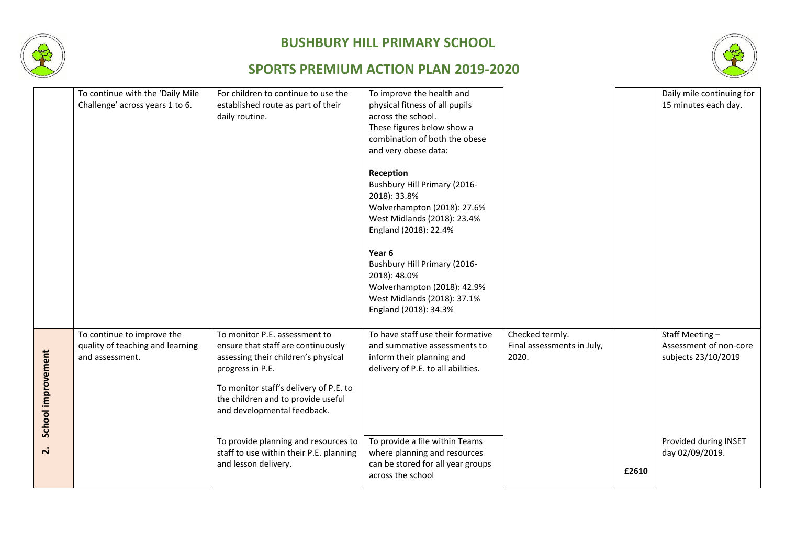



|                                          | To continue with the 'Daily Mile<br>Challenge' across years 1 to 6.               | For children to continue to use the<br>established route as part of their<br>daily routine.                                                                                                                                                                                                                                                              | To improve the health and<br>physical fitness of all pupils<br>across the school.<br>These figures below show a<br>combination of both the obese<br>and very obese data:<br>Reception<br>Bushbury Hill Primary (2016-<br>2018): 33.8%<br>Wolverhampton (2018): 27.6%<br>West Midlands (2018): 23.4%<br>England (2018): 22.4%<br>Year 6<br>Bushbury Hill Primary (2016-<br>2018): 48.0%<br>Wolverhampton (2018): 42.9%<br>West Midlands (2018): 37.1%<br>England (2018): 34.3% |                                                        |       | Daily mile continuing for<br>15 minutes each day.                                                           |
|------------------------------------------|-----------------------------------------------------------------------------------|----------------------------------------------------------------------------------------------------------------------------------------------------------------------------------------------------------------------------------------------------------------------------------------------------------------------------------------------------------|-------------------------------------------------------------------------------------------------------------------------------------------------------------------------------------------------------------------------------------------------------------------------------------------------------------------------------------------------------------------------------------------------------------------------------------------------------------------------------|--------------------------------------------------------|-------|-------------------------------------------------------------------------------------------------------------|
| School improvement<br>$\dot{\mathsf{r}}$ | To continue to improve the<br>quality of teaching and learning<br>and assessment. | To monitor P.E. assessment to<br>ensure that staff are continuously<br>assessing their children's physical<br>progress in P.E.<br>To monitor staff's delivery of P.E. to<br>the children and to provide useful<br>and developmental feedback.<br>To provide planning and resources to<br>staff to use within their P.E. planning<br>and lesson delivery. | To have staff use their formative<br>and summative assessments to<br>inform their planning and<br>delivery of P.E. to all abilities.<br>To provide a file within Teams<br>where planning and resources<br>can be stored for all year groups<br>across the school                                                                                                                                                                                                              | Checked termly.<br>Final assessments in July,<br>2020. | £2610 | Staff Meeting-<br>Assessment of non-core<br>subjects 23/10/2019<br>Provided during INSET<br>day 02/09/2019. |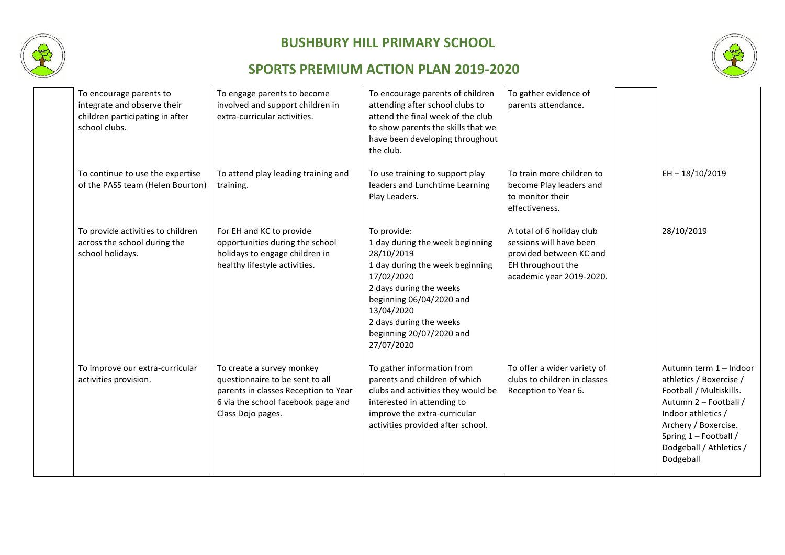



| To encourage parents to<br>integrate and observe their<br>children participating in after<br>school clubs. | To engage parents to become<br>involved and support children in<br>extra-curricular activities.                                                                 | To encourage parents of children<br>attending after school clubs to<br>attend the final week of the club<br>to show parents the skills that we<br>have been developing throughout<br>the club.                                                          | To gather evidence of<br>parents attendance.                                                                                     |                                                                                                                                                                                                                      |
|------------------------------------------------------------------------------------------------------------|-----------------------------------------------------------------------------------------------------------------------------------------------------------------|---------------------------------------------------------------------------------------------------------------------------------------------------------------------------------------------------------------------------------------------------------|----------------------------------------------------------------------------------------------------------------------------------|----------------------------------------------------------------------------------------------------------------------------------------------------------------------------------------------------------------------|
| To continue to use the expertise<br>of the PASS team (Helen Bourton)                                       | To attend play leading training and<br>training.                                                                                                                | To use training to support play<br>leaders and Lunchtime Learning<br>Play Leaders.                                                                                                                                                                      | To train more children to<br>become Play leaders and<br>to monitor their<br>effectiveness.                                       | $EH - 18/10/2019$                                                                                                                                                                                                    |
| To provide activities to children<br>across the school during the<br>school holidays.                      | For EH and KC to provide<br>opportunities during the school<br>holidays to engage children in<br>healthy lifestyle activities.                                  | To provide:<br>1 day during the week beginning<br>28/10/2019<br>1 day during the week beginning<br>17/02/2020<br>2 days during the weeks<br>beginning 06/04/2020 and<br>13/04/2020<br>2 days during the weeks<br>beginning 20/07/2020 and<br>27/07/2020 | A total of 6 holiday club<br>sessions will have been<br>provided between KC and<br>EH throughout the<br>academic year 2019-2020. | 28/10/2019                                                                                                                                                                                                           |
| To improve our extra-curricular<br>activities provision.                                                   | To create a survey monkey<br>questionnaire to be sent to all<br>parents in classes Reception to Year<br>6 via the school facebook page and<br>Class Dojo pages. | To gather information from<br>parents and children of which<br>clubs and activities they would be<br>interested in attending to<br>improve the extra-curricular<br>activities provided after school.                                                    | To offer a wider variety of<br>clubs to children in classes<br>Reception to Year 6.                                              | Autumn term 1 - Indoor<br>athletics / Boxercise /<br>Football / Multiskills.<br>Autumn 2 - Football /<br>Indoor athletics /<br>Archery / Boxercise.<br>Spring 1 - Football /<br>Dodgeball / Athletics /<br>Dodgeball |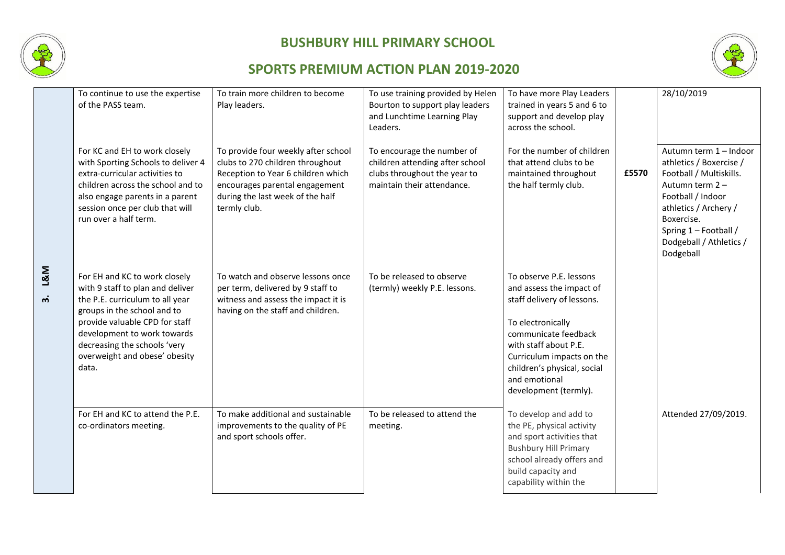

**3. L&M**

# **BUSHBURY HILL PRIMARY SCHOOL**



| To continue to use the expertise<br>of the PASS team.                                                                                                                                                                                                                          | To train more children to become<br>Play leaders.                                                                                                                                                   | To use training provided by Helen<br>Bourton to support play leaders<br>and Lunchtime Learning Play<br>Leaders.             | To have more Play Leaders<br>trained in years 5 and 6 to<br>support and develop play<br>across the school.                                                                                                                                                    |       | 28/10/2019                                                                                                                                                                                                                   |
|--------------------------------------------------------------------------------------------------------------------------------------------------------------------------------------------------------------------------------------------------------------------------------|-----------------------------------------------------------------------------------------------------------------------------------------------------------------------------------------------------|-----------------------------------------------------------------------------------------------------------------------------|---------------------------------------------------------------------------------------------------------------------------------------------------------------------------------------------------------------------------------------------------------------|-------|------------------------------------------------------------------------------------------------------------------------------------------------------------------------------------------------------------------------------|
| For KC and EH to work closely<br>with Sporting Schools to deliver 4<br>extra-curricular activities to<br>children across the school and to<br>also engage parents in a parent<br>session once per club that will<br>run over a half term.                                      | To provide four weekly after school<br>clubs to 270 children throughout<br>Reception to Year 6 children which<br>encourages parental engagement<br>during the last week of the half<br>termly club. | To encourage the number of<br>children attending after school<br>clubs throughout the year to<br>maintain their attendance. | For the number of children<br>that attend clubs to be<br>maintained throughout<br>the half termly club.                                                                                                                                                       | £5570 | Autumn term 1 - Indoor<br>athletics / Boxercise /<br>Football / Multiskills.<br>Autumn term 2 -<br>Football / Indoor<br>athletics / Archery /<br>Boxercise.<br>Spring 1 - Football /<br>Dodgeball / Athletics /<br>Dodgeball |
| For EH and KC to work closely<br>with 9 staff to plan and deliver<br>the P.E. curriculum to all year<br>groups in the school and to<br>provide valuable CPD for staff<br>development to work towards<br>decreasing the schools 'very<br>overweight and obese' obesity<br>data. | To watch and observe lessons once<br>per term, delivered by 9 staff to<br>witness and assess the impact it is<br>having on the staff and children.                                                  | To be released to observe<br>(termly) weekly P.E. lessons.                                                                  | To observe P.E. lessons<br>and assess the impact of<br>staff delivery of lessons.<br>To electronically<br>communicate feedback<br>with staff about P.E.<br>Curriculum impacts on the<br>children's physical, social<br>and emotional<br>development (termly). |       |                                                                                                                                                                                                                              |
| For EH and KC to attend the P.E.<br>co-ordinators meeting.                                                                                                                                                                                                                     | To make additional and sustainable<br>improvements to the quality of PE<br>and sport schools offer.                                                                                                 | To be released to attend the<br>meeting.                                                                                    | To develop and add to<br>the PE, physical activity<br>and sport activities that<br><b>Bushbury Hill Primary</b><br>school already offers and<br>build capacity and<br>capability within the                                                                   |       | Attended 27/09/2019.                                                                                                                                                                                                         |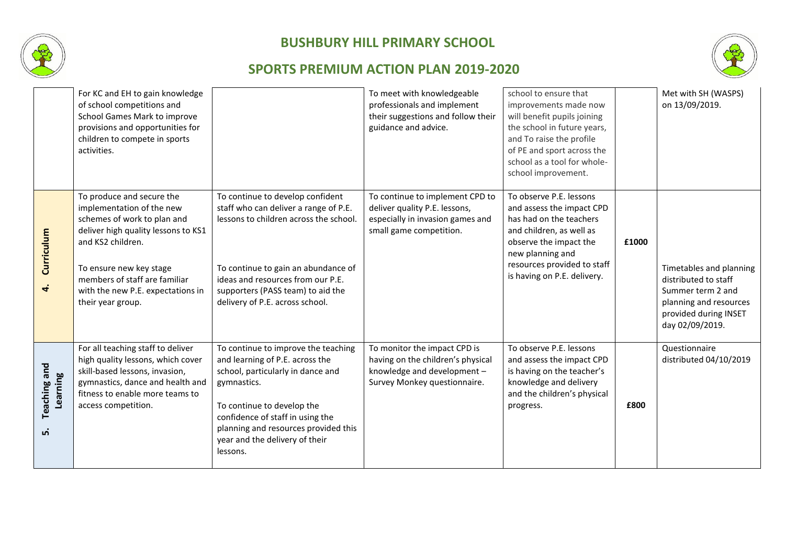



|                                       | For KC and EH to gain knowledge<br>of school competitions and<br>School Games Mark to improve<br>provisions and opportunities for<br>children to compete in sports<br>activities.                                                                                       |                                                                                                                                                                                                                                                                                    | To meet with knowledgeable<br>professionals and implement<br>their suggestions and follow their<br>guidance and advice.          | school to ensure that<br>improvements made now<br>will benefit pupils joining<br>the school in future years,<br>and To raise the profile<br>of PE and sport across the<br>school as a tool for whole-<br>school improvement. |       | Met with SH (WASPS)<br>on 13/09/2019.                                                                                                      |
|---------------------------------------|-------------------------------------------------------------------------------------------------------------------------------------------------------------------------------------------------------------------------------------------------------------------------|------------------------------------------------------------------------------------------------------------------------------------------------------------------------------------------------------------------------------------------------------------------------------------|----------------------------------------------------------------------------------------------------------------------------------|------------------------------------------------------------------------------------------------------------------------------------------------------------------------------------------------------------------------------|-------|--------------------------------------------------------------------------------------------------------------------------------------------|
| Curriculum<br>4                       | To produce and secure the<br>implementation of the new<br>schemes of work to plan and<br>deliver high quality lessons to KS1<br>and KS2 children.<br>To ensure new key stage<br>members of staff are familiar<br>with the new P.E. expectations in<br>their year group. | To continue to develop confident<br>staff who can deliver a range of P.E.<br>lessons to children across the school.<br>To continue to gain an abundance of<br>ideas and resources from our P.E.<br>supporters (PASS team) to aid the<br>delivery of P.E. across school.            | To continue to implement CPD to<br>deliver quality P.E. lessons,<br>especially in invasion games and<br>small game competition.  | To observe P.E. lessons<br>and assess the impact CPD<br>has had on the teachers<br>and children, as well as<br>observe the impact the<br>new planning and<br>resources provided to staff<br>is having on P.E. delivery.      | £1000 | Timetables and planning<br>distributed to staff<br>Summer term 2 and<br>planning and resources<br>provided during INSET<br>day 02/09/2019. |
| <b>Teaching and</b><br>Learning<br>ம் | For all teaching staff to deliver<br>high quality lessons, which cover<br>skill-based lessons, invasion,<br>gymnastics, dance and health and<br>fitness to enable more teams to<br>access competition.                                                                  | To continue to improve the teaching<br>and learning of P.E. across the<br>school, particularly in dance and<br>gymnastics.<br>To continue to develop the<br>confidence of staff in using the<br>planning and resources provided this<br>year and the delivery of their<br>lessons. | To monitor the impact CPD is<br>having on the children's physical<br>knowledge and development -<br>Survey Monkey questionnaire. | To observe P.E. lessons<br>and assess the impact CPD<br>is having on the teacher's<br>knowledge and delivery<br>and the children's physical<br>progress.                                                                     | £800  | Questionnaire<br>distributed 04/10/2019                                                                                                    |